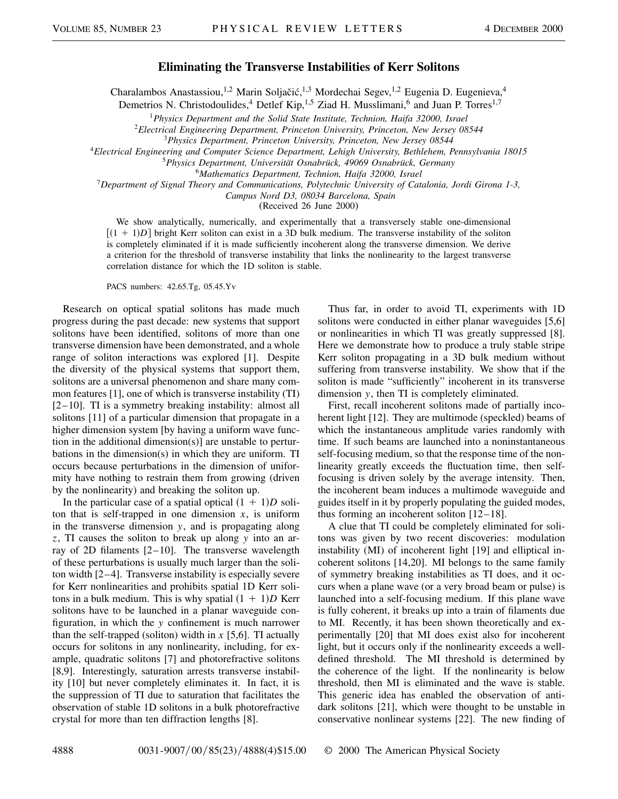## **Eliminating the Transverse Instabilities of Kerr Solitons**

Charalambos Anastassiou,<sup>1,2</sup> Marin Soljačić,<sup>1,3</sup> Mordechai Segev,<sup>1,2</sup> Eugenia D. Eugenieva,<sup>4</sup>

Demetrios N. Christodoulides,<sup>4</sup> Detlef Kip,<sup>1,5</sup> Ziad H. Musslimani,<sup>6</sup> and Juan P. Torres<sup>1,7</sup>

<sup>1</sup>*Physics Department and the Solid State Institute, Technion, Haifa 32000, Israel*

<sup>2</sup>*Electrical Engineering Department, Princeton University, Princeton, New Jersey 08544*

<sup>3</sup>*Physics Department, Princeton University, Princeton, New Jersey 08544*

<sup>4</sup>*Electrical Engineering and Computer Science Department, Lehigh University, Bethlehem, Pennsylvania 18015*

<sup>5</sup>*Physics Department, Universität Osnabrück, 49069 Osnabrück, Germany*

<sup>6</sup>*Mathematics Department, Technion, Haifa 32000, Israel*

<sup>7</sup>*Department of Signal Theory and Communications, Polytechnic University of Catalonia, Jordi Girona 1-3,*

*Campus Nord D3, 08034 Barcelona, Spain*

(Received 26 June 2000)

We show analytically, numerically, and experimentally that a transversely stable one-dimensional  $[(1 + 1)D]$  bright Kerr soliton can exist in a 3D bulk medium. The transverse instability of the soliton is completely eliminated if it is made sufficiently incoherent along the transverse dimension. We derive a criterion for the threshold of transverse instability that links the nonlinearity to the largest transverse correlation distance for which the 1D soliton is stable.

PACS numbers: 42.65.Tg, 05.45.Yv

Research on optical spatial solitons has made much progress during the past decade: new systems that support solitons have been identified, solitons of more than one transverse dimension have been demonstrated, and a whole range of soliton interactions was explored [1]. Despite the diversity of the physical systems that support them, solitons are a universal phenomenon and share many common features [1], one of which is transverse instability (TI) [2–10]. TI is a symmetry breaking instability: almost all solitons [11] of a particular dimension that propagate in a higher dimension system [by having a uniform wave function in the additional dimension(s)] are unstable to perturbations in the dimension(s) in which they are uniform. TI occurs because perturbations in the dimension of uniformity have nothing to restrain them from growing (driven by the nonlinearity) and breaking the soliton up.

In the particular case of a spatial optical  $(1 + 1)D$  soliton that is self-trapped in one dimension  $x$ , is uniform in the transverse dimension *y*, and is propagating along *z*, TI causes the soliton to break up along *y* into an array of 2D filaments [2–10]. The transverse wavelength of these perturbations is usually much larger than the soliton width [2–4]. Transverse instability is especially severe for Kerr nonlinearities and prohibits spatial 1D Kerr solitons in a bulk medium. This is why spatial  $(1 + 1)D$  Kerr solitons have to be launched in a planar waveguide configuration, in which the *y* confinement is much narrower than the self-trapped (soliton) width in  $x$  [5,6]. TI actually occurs for solitons in any nonlinearity, including, for example, quadratic solitons [7] and photorefractive solitons [8,9]. Interestingly, saturation arrests transverse instability [10] but never completely eliminates it. In fact, it is the suppression of TI due to saturation that facilitates the observation of stable 1D solitons in a bulk photorefractive crystal for more than ten diffraction lengths [8].

Thus far, in order to avoid TI, experiments with 1D solitons were conducted in either planar waveguides [5,6] or nonlinearities in which TI was greatly suppressed [8]. Here we demonstrate how to produce a truly stable stripe Kerr soliton propagating in a 3D bulk medium without suffering from transverse instability. We show that if the soliton is made "sufficiently" incoherent in its transverse dimension *y*, then TI is completely eliminated.

First, recall incoherent solitons made of partially incoherent light [12]. They are multimode (speckled) beams of which the instantaneous amplitude varies randomly with time. If such beams are launched into a noninstantaneous self-focusing medium, so that the response time of the nonlinearity greatly exceeds the fluctuation time, then selffocusing is driven solely by the average intensity. Then, the incoherent beam induces a multimode waveguide and guides itself in it by properly populating the guided modes, thus forming an incoherent soliton [12–18].

A clue that TI could be completely eliminated for solitons was given by two recent discoveries: modulation instability (MI) of incoherent light [19] and elliptical incoherent solitons [14,20]. MI belongs to the same family of symmetry breaking instabilities as TI does, and it occurs when a plane wave (or a very broad beam or pulse) is launched into a self-focusing medium. If this plane wave is fully coherent, it breaks up into a train of filaments due to MI. Recently, it has been shown theoretically and experimentally [20] that MI does exist also for incoherent light, but it occurs only if the nonlinearity exceeds a welldefined threshold. The MI threshold is determined by the coherence of the light. If the nonlinearity is below threshold, then MI is eliminated and the wave is stable. This generic idea has enabled the observation of antidark solitons [21], which were thought to be unstable in conservative nonlinear systems [22]. The new finding of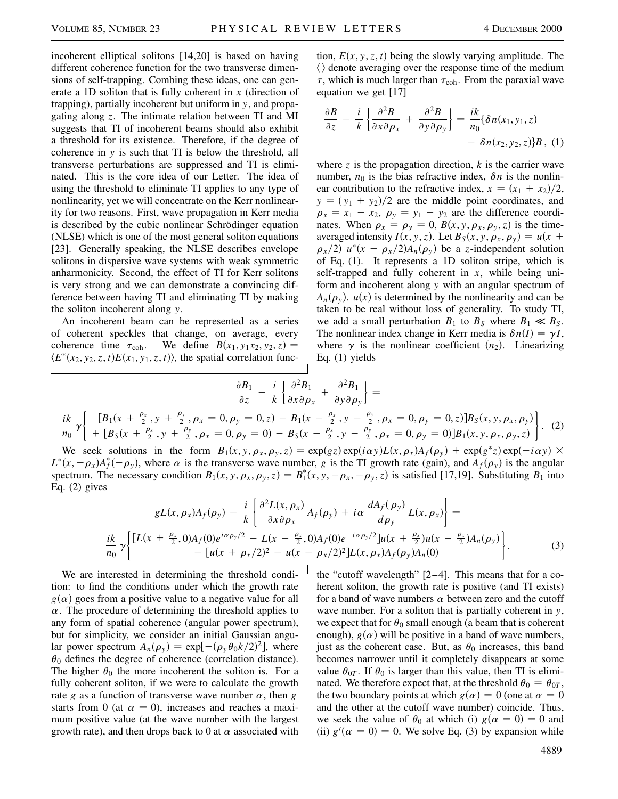*ik*

incoherent elliptical solitons [14,20] is based on having different coherence function for the two transverse dimensions of self-trapping. Combing these ideas, one can generate a 1D soliton that is fully coherent in *x* (direction of trapping), partially incoherent but uniform in *y*, and propagating along *z*. The intimate relation between TI and MI suggests that TI of incoherent beams should also exhibit a threshold for its existence. Therefore, if the degree of coherence in *y* is such that TI is below the threshold, all transverse perturbations are suppressed and TI is eliminated. This is the core idea of our Letter. The idea of using the threshold to eliminate TI applies to any type of nonlinearity, yet we will concentrate on the Kerr nonlinearity for two reasons. First, wave propagation in Kerr media is described by the cubic nonlinear Schrödinger equation (NLSE) which is one of the most general soliton equations [23]. Generally speaking, the NLSE describes envelope solitons in dispersive wave systems with weak symmetric anharmonicity. Second, the effect of TI for Kerr solitons is very strong and we can demonstrate a convincing difference between having TI and eliminating TI by making the soliton incoherent along *y*.

An incoherent beam can be represented as a series of coherent speckles that change, on average, every coherence time  $\tau_{coh}$ . We define  $B(x_1, y_1x_2, y_2, z) =$  $\langle E^*(x_2, y_2, z, t) E(x_1, y_1, z, t) \rangle$ , the spatial correlation func-

tion,  $E(x, y, z, t)$  being the slowly varying amplitude. The  $\langle \rangle$  denote averaging over the response time of the medium  $\tau$ , which is much larger than  $\tau_{coh}$ . From the paraxial wave equation we get [17]

$$
\frac{\partial B}{\partial z} - \frac{i}{k} \left\{ \frac{\partial^2 B}{\partial x \partial \rho_x} + \frac{\partial^2 B}{\partial y \partial \rho_y} \right\} = \frac{ik}{n_0} \{ \delta n(x_1, y_1, z) - \delta n(x_2, y_2, z) \} B, (1)
$$

where  $\zeta$  is the propagation direction,  $k$  is the carrier wave number,  $n_0$  is the bias refractive index,  $\delta n$  is the nonlinear contribution to the refractive index,  $x = (x_1 + x_2)/2$ ,  $y = (y_1 + y_2)/2$  are the middle point coordinates, and  $\rho_x = x_1 - x_2$ ,  $\rho_y = y_1 - y_2$  are the difference coordinates. When  $\rho_x = \rho_y = 0$ ,  $B(x, y, \rho_x, \rho_y, z)$  is the timeaveraged intensity  $I(x, y, z)$ . Let  $B_S(x, y, \rho_x, \rho_y) = u(x + z)$  $\rho_{x}/2$   $u^{*}(x - \rho_{x}/2)A_{n}(\rho_{y})$  be a *z*-independent solution of Eq. (1). It represents a 1D soliton stripe, which is self-trapped and fully coherent in  $x$ , while being uniform and incoherent along *y* with an angular spectrum of  $A_n(\rho_y)$ .  $u(x)$  is determined by the nonlinearity and can be taken to be real without loss of generality. To study TI, we add a small perturbation  $B_1$  to  $B_S$  where  $B_1 \ll B_S$ . The nonlinear index change in Kerr media is  $\delta n(I) = \gamma I$ , where  $\gamma$  is the nonlinear coefficient  $(n_2)$ . Linearizing Eq. (1) yields

$$
\frac{\partial B_1}{\partial z} - \frac{i}{k} \left\{ \frac{\partial^2 B_1}{\partial x \partial \rho_x} + \frac{\partial^2 B_1}{\partial y \partial \rho_y} \right\} = \n\frac{i k}{n_0} \gamma \left\{ \begin{array}{l} [B_1(x + \frac{\rho_x}{2}, y + \frac{\rho_y}{2}, \rho_x = 0, \rho_y = 0, z) - B_1(x - \frac{\rho_x}{2}, y - \frac{\rho_y}{2}, \rho_x = 0, \rho_y = 0, z)] B_S(x, y, \rho_x, \rho_y) \\ + [B_S(x + \frac{\rho_x}{2}, y + \frac{\rho_y}{2}, \rho_x = 0, \rho_y = 0) - B_S(x - \frac{\rho_x}{2}, y - \frac{\rho_y}{2}, \rho_x = 0, \rho_y = 0)] B_1(x, y, \rho_x, \rho_y, z) \end{array} \right\}.
$$
\n(2)

We seek solutions in the form  $B_1(x, y, \rho_x, \rho_y, z) = \exp(gz) \exp(i\alpha y) L(x, \rho_x) A_f(\rho_y) + \exp(g^*z) \exp(-i\alpha y) \times$  $L^*(x, -\rho_x)A_f^*(-\rho_y)$ , where  $\alpha$  is the transverse wave number, *g* is the TI growth rate (gain), and  $A_f(\rho_y)$  is the angular spectrum. The necessary condition  $B_1(x, y, \rho_x, \rho_y, z) = B_1^*(x, y, -\rho_x, -\rho_y, z)$  is satisfied [17,19]. Substituting  $B_1$  into Eq. (2) gives

$$
gL(x, \rho_x)A_f(\rho_y) - \frac{i}{k} \left\{ \frac{\partial^2 L(x, \rho_x)}{\partial x \partial \rho_x} A_f(\rho_y) + i \alpha \frac{dA_f(\rho_y)}{d\rho_y} L(x, \rho_x) \right\} = \n\frac{i k}{n_0} \gamma \left\{ \frac{[L(x + \frac{\rho_x}{2}, 0)A_f(0)e^{i\alpha \rho_y/2} - L(x - \frac{\rho_x}{2}, 0)A_f(0)e^{-i\alpha \rho_y/2}]u(x + \frac{\rho_x}{2})u(x - \frac{\rho_x}{2})A_n(\rho_y) + [u(x + \rho_x/2)^2 - u(x - \rho_x/2)^2]L(x, \rho_x)A_f(\rho_y)A_n(0) \right\}.
$$
\n(3)

We are interested in determining the threshold condition: to find the conditions under which the growth rate  $g(\alpha)$  goes from a positive value to a negative value for all  $\alpha$ . The procedure of determining the threshold applies to any form of spatial coherence (angular power spectrum), but for simplicity, we consider an initial Gaussian angular power spectrum  $A_n(\rho_y) = \exp[-(\rho_y \theta_0 k/2)^2]$ , where  $\theta_0$  defines the degree of coherence (correlation distance). The higher  $\theta_0$  the more incoherent the soliton is. For a fully coherent soliton, if we were to calculate the growth rate *g* as a function of transverse wave number  $\alpha$ , then *g* starts from 0 (at  $\alpha = 0$ ), increases and reaches a maximum positive value (at the wave number with the largest growth rate), and then drops back to 0 at  $\alpha$  associated with

the "cutoff wavelength" [2–4]. This means that for a coherent soliton, the growth rate is positive (and TI exists) for a band of wave numbers  $\alpha$  between zero and the cutoff wave number. For a soliton that is partially coherent in *y*, we expect that for  $\theta_0$  small enough (a beam that is coherent enough),  $g(\alpha)$  will be positive in a band of wave numbers, just as the coherent case. But, as  $\theta_0$  increases, this band becomes narrower until it completely disappears at some value  $\theta_{0T}$ . If  $\theta_0$  is larger than this value, then TI is eliminated. We therefore expect that, at the threshold  $\theta_0 = \theta_{0T}$ , the two boundary points at which  $g(\alpha) = 0$  (one at  $\alpha = 0$ ) and the other at the cutoff wave number) coincide. Thus, we seek the value of  $\theta_0$  at which (i)  $g(\alpha = 0) = 0$  and (ii)  $g'(\alpha = 0) = 0$ . We solve Eq. (3) by expansion while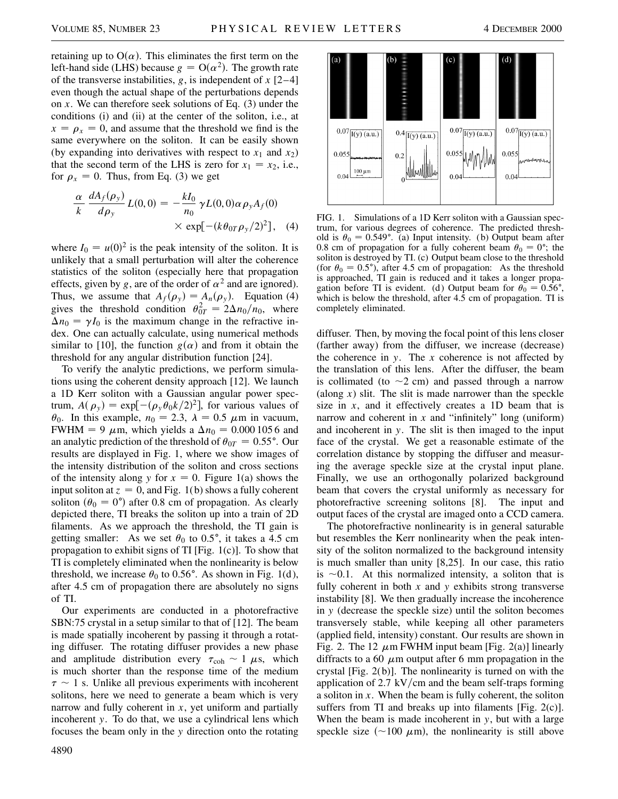retaining up to  $O(\alpha)$ . This eliminates the first term on the left-hand side (LHS) because  $g = O(\alpha^2)$ . The growth rate of the transverse instabilities, *g*, is independent of *x* [2–4] even though the actual shape of the perturbations depends on *x*. We can therefore seek solutions of Eq. (3) under the conditions (i) and (ii) at the center of the soliton, i.e., at  $x = \rho_x = 0$ , and assume that the threshold we find is the same everywhere on the soliton. It can be easily shown (by expanding into derivatives with respect to  $x_1$  and  $x_2$ ) that the second term of the LHS is zero for  $x_1 = x_2$ , i.e., for  $\rho_x = 0$ . Thus, from Eq. (3) we get

$$
\frac{\alpha}{k} \frac{dA_f(\rho_y)}{d\rho_y} L(0,0) = -\frac{kI_0}{n_0} \gamma L(0,0) \alpha \rho_y A_f(0)
$$
  
 
$$
\times \exp[-(k\theta_{0T}\rho_y/2)^2], \quad (4)
$$

where  $I_0 = u(0)^2$  is the peak intensity of the soliton. It is unlikely that a small perturbation will alter the coherence statistics of the soliton (especially here that propagation effects, given by *g*, are of the order of  $\alpha^2$  and are ignored). Thus, we assume that  $A_f(\rho_y) = A_n(\rho_y)$ . Equation (4) gives the threshold condition  $\theta_{0T}^2 = 2\Delta n_0/n_0$ , where  $\Delta n_0 = \gamma I_0$  is the maximum change in the refractive index. One can actually calculate, using numerical methods similar to [10], the function  $g(\alpha)$  and from it obtain the threshold for any angular distribution function [24].

To verify the analytic predictions, we perform simulations using the coherent density approach [12]. We launch a 1D Kerr soliton with a Gaussian angular power spectrum,  $A(\rho_y) = \exp[-(\rho_y \theta_0 k/2)^2]$ , for various values of  $\theta_0$ . In this example,  $n_0 = 2.3$ ,  $\lambda = 0.5$   $\mu$ m in vacuum, FWHM = 9  $\mu$ m, which yields a  $\Delta n_0 = 0.0001056$  and an analytic prediction of the threshold of  $\theta_{0T} = 0.55^{\circ}$ . Our results are displayed in Fig. 1, where we show images of the intensity distribution of the soliton and cross sections of the intensity along *y* for  $x = 0$ . Figure 1(a) shows the input soliton at  $z = 0$ , and Fig. 1(b) shows a fully coherent soliton ( $\theta_0 = 0^{\circ}$ ) after 0.8 cm of propagation. As clearly depicted there, TI breaks the soliton up into a train of 2D filaments. As we approach the threshold, the TI gain is getting smaller: As we set  $\theta_0$  to 0.5°, it takes a 4.5 cm propagation to exhibit signs of TI [Fig. 1(c)]. To show that TI is completely eliminated when the nonlinearity is below threshold, we increase  $\theta_0$  to 0.56°. As shown in Fig. 1(d), after 4.5 cm of propagation there are absolutely no signs of TI.

Our experiments are conducted in a photorefractive SBN:75 crystal in a setup similar to that of [12]. The beam is made spatially incoherent by passing it through a rotating diffuser. The rotating diffuser provides a new phase and amplitude distribution every  $\tau_{coh} \sim 1 \mu s$ , which is much shorter than the response time of the medium  $\tau \sim 1$  s. Unlike all previous experiments with incoherent solitons, here we need to generate a beam which is very narrow and fully coherent in *x*, yet uniform and partially incoherent *y*. To do that, we use a cylindrical lens which focuses the beam only in the *y* direction onto the rotating



FIG. 1. Simulations of a 1D Kerr soliton with a Gaussian spectrum, for various degrees of coherence. The predicted threshold is  $\theta_0 = 0.549^{\circ}$ . (a) Input intensity. (b) Output beam after 0.8 cm of propagation for a fully coherent beam  $\theta_0 = 0$ °; the soliton is destroyed by TI. (c) Output beam close to the threshold (for  $\theta_0 = 0.5^{\circ}$ ), after 4.5 cm of propagation: As the threshold is approached, TI gain is reduced and it takes a longer propagation before TI is evident. (d) Output beam for  $\theta_0 = 0.56^{\circ}$ , which is below the threshold, after 4.5 cm of propagation. TI is completely eliminated.

diffuser. Then, by moving the focal point of this lens closer (farther away) from the diffuser, we increase (decrease) the coherence in *y*. The *x* coherence is not affected by the translation of this lens. After the diffuser, the beam is collimated (to  $\sim$ 2 cm) and passed through a narrow (along *x*) slit. The slit is made narrower than the speckle size in *x*, and it effectively creates a 1D beam that is narrow and coherent in *x* and "infinitely" long (uniform) and incoherent in *y*. The slit is then imaged to the input face of the crystal. We get a reasonable estimate of the correlation distance by stopping the diffuser and measuring the average speckle size at the crystal input plane. Finally, we use an orthogonally polarized background beam that covers the crystal uniformly as necessary for photorefractive screening solitons [8]. The input and output faces of the crystal are imaged onto a CCD camera.

The photorefractive nonlinearity is in general saturable but resembles the Kerr nonlinearity when the peak intensity of the soliton normalized to the background intensity is much smaller than unity [8,25]. In our case, this ratio is  $\sim$ 0.1. At this normalized intensity, a soliton that is fully coherent in both *x* and *y* exhibits strong transverse instability [8]. We then gradually increase the incoherence in *y* (decrease the speckle size) until the soliton becomes transversely stable, while keeping all other parameters (applied field, intensity) constant. Our results are shown in Fig. 2. The 12  $\mu$ m FWHM input beam [Fig. 2(a)] linearly diffracts to a 60  $\mu$ m output after 6 mm propagation in the crystal [Fig. 2(b)]. The nonlinearity is turned on with the application of 2.7 kV/cm and the beam self-traps forming a soliton in *x*. When the beam is fully coherent, the soliton suffers from TI and breaks up into filaments [Fig.  $2(c)$ ]. When the beam is made incoherent in *y*, but with a large speckle size ( $\sim$ 100  $\mu$ m), the nonlinearity is still above